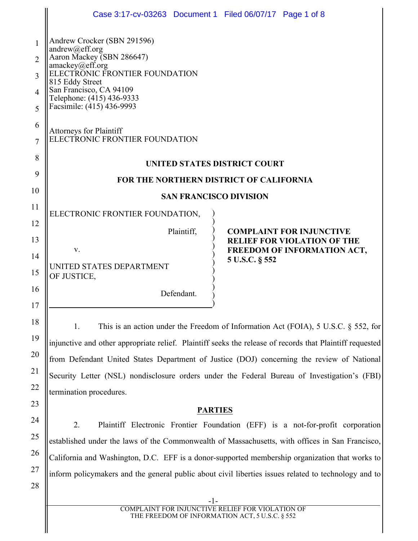|                | Case 3:17-cv-03263 Document 1 Filed 06/07/17 Page 1 of 8                                                 |  |  |
|----------------|----------------------------------------------------------------------------------------------------------|--|--|
|                |                                                                                                          |  |  |
| $\mathbf{1}$   | Andrew Crocker (SBN 291596)<br>andrew@eff.org                                                            |  |  |
| $\overline{2}$ | Aaron Mackey (SBN 286647)<br>amackey@eff.org                                                             |  |  |
| 3              | ELECTRONIC FRONTIER FOUNDATION<br>815 Eddy Street                                                        |  |  |
| $\overline{4}$ | San Francisco, CA 94109<br>Telephone: (415) 436-9333<br>Facsimile: (415) 436-9993                        |  |  |
| 5              |                                                                                                          |  |  |
| 6<br>7         | <b>Attorneys for Plaintiff</b><br>ELECTRONIC FRONTIER FOUNDATION                                         |  |  |
| 8              | UNITED STATES DISTRICT COURT                                                                             |  |  |
| 9              | <b>FOR THE NORTHERN DISTRICT OF CALIFORNIA</b>                                                           |  |  |
| 10             | <b>SAN FRANCISCO DIVISION</b>                                                                            |  |  |
| 11             | ELECTRONIC FRONTIER FOUNDATION,                                                                          |  |  |
| 12             | Plaintiff,<br><b>COMPLAINT FOR INJUNCTIVE</b>                                                            |  |  |
| 13             | <b>RELIEF FOR VIOLATION OF THE</b><br>V.<br>FREEDOM OF INFORMATION ACT,                                  |  |  |
| 14<br>15       | 5 U.S.C. § 552<br>UNITED STATES DEPARTMENT<br>OF JUSTICE,                                                |  |  |
| 16             | Defendant.                                                                                               |  |  |
| 17             |                                                                                                          |  |  |
| 18             | This is an action under the Freedom of Information Act (FOIA), $5 \text{ U.S.C. }$ \$552, for<br>1.      |  |  |
| 19             | injunctive and other appropriate relief. Plaintiff seeks the release of records that Plaintiff requested |  |  |
| 20             | from Defendant United States Department of Justice (DOJ) concerning the review of National               |  |  |
| 21             | Security Letter (NSL) nondisclosure orders under the Federal Bureau of Investigation's (FBI)             |  |  |
| 22             | termination procedures.                                                                                  |  |  |
| 23             | <b>PARTIES</b>                                                                                           |  |  |
| 24             | 2.<br>Plaintiff Electronic Frontier Foundation (EFF) is a not-for-profit corporation                     |  |  |
| 25             | established under the laws of the Commonwealth of Massachusetts, with offices in San Francisco,          |  |  |
| 26             | California and Washington, D.C. EFF is a donor-supported membership organization that works to           |  |  |
| 27             | inform policymakers and the general public about civil liberties issues related to technology and to     |  |  |
| 28             |                                                                                                          |  |  |
|                | -1-<br>COMPLAINT FOR INJUNCTIVE RELIEF FOR VIOLATION OF                                                  |  |  |
|                |                                                                                                          |  |  |

THE FREEDOM OF INFORMATION ACT, 5 U.S.C. § 552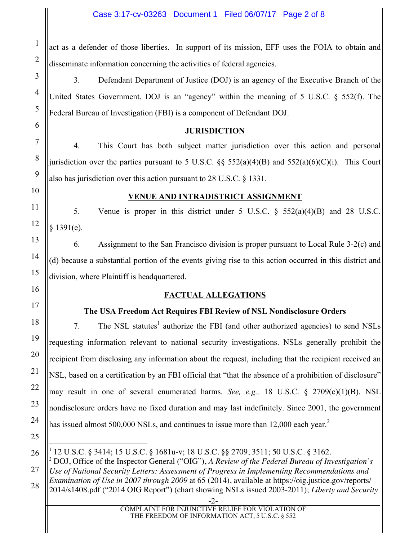act as a defender of those liberties. In support of its mission, EFF uses the FOIA to obtain and disseminate information concerning the activities of federal agencies.

3. Defendant Department of Justice (DOJ) is an agency of the Executive Branch of the United States Government. DOJ is an "agency" within the meaning of 5 U.S.C. § 552(f). The Federal Bureau of Investigation (FBI) is a component of Defendant DOJ.

### **JURISDICTION**

4. This Court has both subject matter jurisdiction over this action and personal jurisdiction over the parties pursuant to 5 U.S.C.  $\S$ § 552(a)(4)(B) and 552(a)(6)(C)(i). This Court also has jurisdiction over this action pursuant to 28 U.S.C. § 1331.

1

2

3

4

5

### **VENUE AND INTRADISTRICT ASSIGNMENT**

5. Venue is proper in this district under 5 U.S.C. § 552(a)(4)(B) and 28 U.S.C. § 1391(e).

6. Assignment to the San Francisco division is proper pursuant to Local Rule 3-2(c) and (d) because a substantial portion of the events giving rise to this action occurred in this district and division, where Plaintiff is headquartered.

# **FACTUAL ALLEGATIONS**

# **The USA Freedom Act Requires FBI Review of NSL Nondisclosure Orders**

7. The NSL statutes<sup>1</sup> authorize the FBI (and other authorized agencies) to send NSLs requesting information relevant to national security investigations. NSLs generally prohibit the recipient from disclosing any information about the request, including that the recipient received an NSL, based on a certification by an FBI official that "that the absence of a prohibition of disclosure" may result in one of several enumerated harms. *See, e.g.,* 18 U.S.C. § 2709(c)(1)(B). NSL nondisclosure orders have no fixed duration and may last indefinitely. Since 2001, the government has issued almost 500,000 NSLs, and continues to issue more than  $12,000$  each year.<sup>2</sup>

 $\overline{a}$  $1$  12 U.S.C. § 3414; 15 U.S.C. § 1681u-v; 18 U.S.C. §§ 2709, 3511; 50 U.S.C. § 3162.

<sup>2</sup> DOJ, Office of the Inspector General ("OIG"), *A Review of the Federal Bureau of Investigation's Use of National Security Letters: Assessment of Progress in Implementing Recommendations and Examination of Use in 2007 through 2009* at 65 (2014), available at https://oig.justice.gov/reports/ 2014/s1408.pdf ("2014 OIG Report") (chart showing NSLs issued 2003-2011); *Liberty and Security*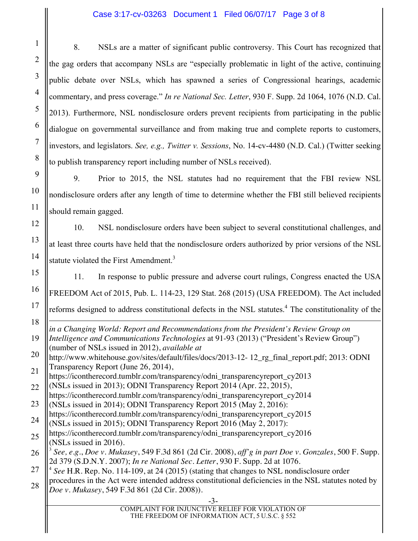#### Case 3:17-cv-03263 Document 1 Filed 06/07/17 Page 3 of 8

8. NSLs are a matter of significant public controversy. This Court has recognized that the gag orders that accompany NSLs are "especially problematic in light of the active, continuing public debate over NSLs, which has spawned a series of Congressional hearings, academic commentary, and press coverage." *In re National Sec. Letter*, 930 F. Supp. 2d 1064, 1076 (N.D. Cal. 2013). Furthermore, NSL nondisclosure orders prevent recipients from participating in the public dialogue on governmental surveillance and from making true and complete reports to customers, investors, and legislators. *See, e.g., Twitter v. Sessions*, No. 14-cv-4480 (N.D. Cal.) (Twitter seeking to publish transparency report including number of NSLs received).

9. Prior to 2015, the NSL statutes had no requirement that the FBI review NSL nondisclosure orders after any length of time to determine whether the FBI still believed recipients should remain gagged.

10. NSL nondisclosure orders have been subject to several constitutional challenges, and at least three courts have held that the nondisclosure orders authorized by prior versions of the NSL statute violated the First Amendment.<sup>3</sup>

11. In response to public pressure and adverse court rulings, Congress enacted the USA FREEDOM Act of 2015, Pub. L. 114-23, 129 Stat. 268 (2015) (USA FREEDOM). The Act included reforms designed to address constitutional defects in the NSL statutes.<sup>4</sup> The constitutionality of the

 $\overline{a}$ *in a Changing World: Report and Recommendations from the President's Review Group on Intelligence and Communications Technologies* at 91-93 (2013) ("President's Review Group") (number of NSLs issued in 2012), *available at*

http://www.whitehouse.gov/sites/default/files/docs/2013-12- 12\_rg\_final\_report.pdf; 2013: ODNI Transparency Report (June 26, 2014),

- https://icontherecord.tumblr.com/transparency/odni\_transparencyreport\_cy2013 (NSLs issued in 2013); ODNI Transparency Report 2014 (Apr. 22, 2015),
- https://icontherecord.tumblr.com/transparency/odni\_transparencyreport\_cy2014 (NSLs issued in 2014); ODNI Transparency Report 2015 (May 2, 2016):
- https://icontherecord.tumblr.com/transparency/odni\_transparencyreport\_cy2015
- (NSLs issued in 2015); ODNI Transparency Report 2016 (May 2, 2017):
- https://icontherecord.tumblr.com/transparency/odni\_transparencyreport\_cy2016 (NSLs issued in 2016).
- 26 <sup>3</sup> *See, e.g.*, *Doe v. Mukasey*, 549 F.3d 861 (2d Cir. 2008), *aff'g in part Doe v. Gonzales*, 500 F. Supp. 2d 379 (S.D.N.Y. 2007); *In re National Sec. Letter*, 930 F. Supp. 2d at 1076.
- <sup>4</sup> *See* H.R. Rep. No. 114-109, at 24 (2015) (stating that changes to NSL nondisclosure order
- procedures in the Act were intended address constitutional deficiencies in the NSL statutes noted by *Doe v. Mukasey*, 549 F.3d 861 (2d Cir. 2008)).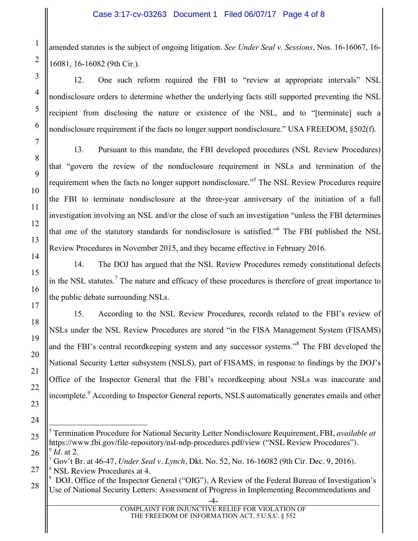amended statutes is the subject of ongoing litigation. *See Under Seal v. Sessions*, Nos. 16-16067, 16- 16081, 16-16082 (9th Cir.).

12. One such reform required the FBI to "review at appropriate intervals" NSL nondisclosure orders to determine whether the underlying facts still supported preventing the NSL recipient from disclosing the nature or existence of the NSL, and to "[terminate] such a nondisclosure requirement if the facts no longer support nondisclosure." USA FREEDOM, §502(f).

13. Pursuant to this mandate, the FBI developed procedures (NSL Review Procedures) that "govern the review of the nondisclosure requirement in NSLs and termination of the requirement when the facts no longer support nondisclosure."5 The NSL Review Procedures require the FBI to terminate nondisclosure at the three-year anniversary of the initiation of a full investigation involving an NSL and/or the close of such an investigation "unless the FBI determines that one of the statutory standards for nondisclosure is satisfied." <sup>6</sup> The FBI published the NSL Review Procedures in November 2015, and they became effective in February 2016.

14. The DOJ has argued that the NSL Review Procedures remedy constitutional defects in the NSL statutes.<sup>7</sup> The nature and efficacy of these procedures is therefore of great importance to the public debate surrounding NSLs.

15. According to the NSL Review Procedures, records related to the FBI's review of NSLs under the NSL Review Procedures are stored "in the FISA Management System (FISAMS) and the FBI's central recordkeeping system and any successor systems."<sup>8</sup> The FBI developed the National Security Letter subsystem (NSLS), part of FISAMS, in response to findings by the DOJ's Office of the Inspector General that the FBI's recordkeeping about NSLs was inaccurate and incomplete.<sup>9</sup> According to Inspector General reports, NSLS automatically generates emails and other

 $\overline{a}$ <sup>5</sup> Termination Procedure for National Security Letter Nondisclosure Requirement, FBI, *available at* https://www.fbi.gov/file-repository/nsl-ndp-procedures.pdf/view ("NSL Review Procedures").  $^6$  *Id.* at 2.

<sup>7</sup> Gov't Br. at 46-47, *Under Seal v. Lynch*, Dkt. No. 52, No. 16-16082 (9th Cir. Dec. 9, 2016). <sup>8</sup> NSL Review Procedures at 4.

 $9 \text{ DOI}$ , Office of the Inspector General ("OIG"), A Review of the Federal Bureau of Investigation's Use of National Security Letters: Assessment of Progress in Implementing Recommendations and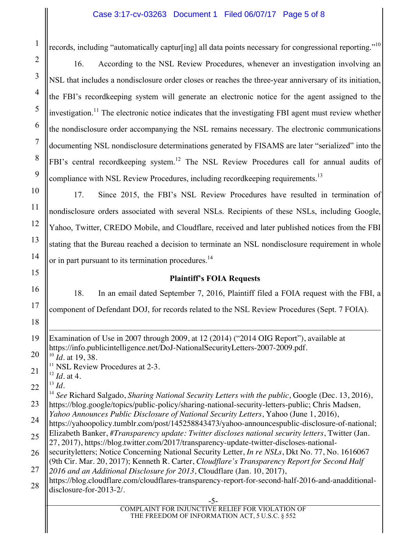#### Case 3:17-cv-03263 Document 1 Filed 06/07/17 Page 5 of 8

records, including "automatically captur[ing] all data points necessary for congressional reporting."<sup>10</sup>

16. According to the NSL Review Procedures, whenever an investigation involving an NSL that includes a nondisclosure order closes or reaches the three-year anniversary of its initiation, the FBI's recordkeeping system will generate an electronic notice for the agent assigned to the investigation.<sup>11</sup> The electronic notice indicates that the investigating FBI agent must review whether the nondisclosure order accompanying the NSL remains necessary. The electronic communications documenting NSL nondisclosure determinations generated by FISAMS are later "serialized" into the FBI's central recordkeeping system.<sup>12</sup> The NSL Review Procedures call for annual audits of compliance with NSL Review Procedures, including recordkeeping requirements.<sup>13</sup>

17. Since 2015, the FBI's NSL Review Procedures have resulted in termination of nondisclosure orders associated with several NSLs. Recipients of these NSLs, including Google, Yahoo, Twitter, CREDO Mobile, and Cloudflare, received and later published notices from the FBI stating that the Bureau reached a decision to terminate an NSL nondisclosure requirement in whole or in part pursuant to its termination procedures.<sup>14</sup>

#### **Plaintiff's FOIA Requests**

18. In an email dated September 7, 2016, Plaintiff filed a FOIA request with the FBI, a

component of Defendant DOJ, for records related to the NSL Review Procedures (Sept. 7 FOIA).

19  $\overline{a}$ Examination of Use in 2007 through 2009, at 12 (2014) ("2014 OIG Report"), available at https://info.publicintelligence.net/DoJ-NationalSecurityLetters-2007-2009.pdf.

20 <sup>10</sup> *Id.* at 19, 38.

<sup>11</sup> NSL Review Procedures at 2-3.

21 <sup>12</sup> *Id*. at 4.

22 <sup>13</sup> *Id.*

1

2

3

4

5

6

7

8

9

10

11

12

13

14

15

16

17

18

23 <sup>14</sup> *See* Richard Salgado, *Sharing National Security Letters with the public*, Google (Dec. 13, 2016), https://blog.google/topics/public-policy/sharing-national-security-letters-public; Chris Madsen*,* 

24 *Yahoo Announces Public Disclosure of National Security Letters*, Yahoo (June 1, 2016),

25 https://yahoopolicy.tumblr.com/post/145258843473/yahoo-announcespublic-disclosure-of-national; Elizabeth Banker, *#Transparency update: Twitter discloses national security letters*, Twitter (Jan. 27, 2017), https://blog.twitter.com/2017/transparency-update-twitter-discloses-national-

26 securityletters; Notice Concerning National Security Letter, *In re NSLs*, Dkt No. 77, No. 1616067 (9th Cir. Mar. 20, 2017); Kenneth R. Carter, *Cloudflare's Transparency Report for Second Half* 

27 *2016 and an Additional Disclosure for 2013*, Cloudflare (Jan. 10, 2017),

28 https://blog.cloudflare.com/cloudflares-transparency-report-for-second-half-2016-and-anadditionaldisclosure-for-2013-2/.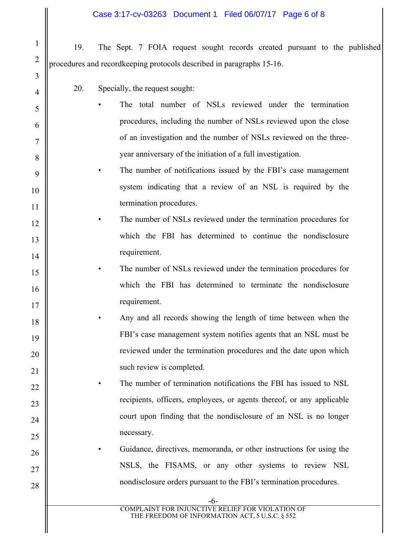- 19. The Sept. 7 FOIA request sought records created pursuant to the published procedures and recordkeeping protocols described in paragraphs 15-16.
	- 20. Specially, the request sought:
	- The total number of NSLs reviewed under the termination procedures, including the number of NSLs reviewed upon the close of an investigation and the number of NSLs reviewed on the threeyear anniversary of the initiation of a full investigation.
	- The number of notifications issued by the FBI's case management system indicating that a review of an NSL is required by the termination procedures.
- The number of NSLs reviewed under the termination procedures for which the FBI has determined to continue the nondisclosure requirement.
- 15 16 17 The number of NSLs reviewed under the termination procedures for which the FBI has determined to terminate the nondisclosure requirement.
- 18 19 20 21 • Any and all records showing the length of time between when the FBI's case management system notifies agents that an NSL must be reviewed under the termination procedures and the date upon which such review is completed.
	- The number of termination notifications the FBI has issued to NSL recipients, officers, employees, or agents thereof, or any applicable court upon finding that the nondisclosure of an NSL is no longer necessary.
	- Guidance, directives, memoranda, or other instructions for using the NSLS, the FISAMS, or any other systems to review NSL nondisclosure orders pursuant to the FBI's termination procedures.

13

14

22

23

24

25

26

27

28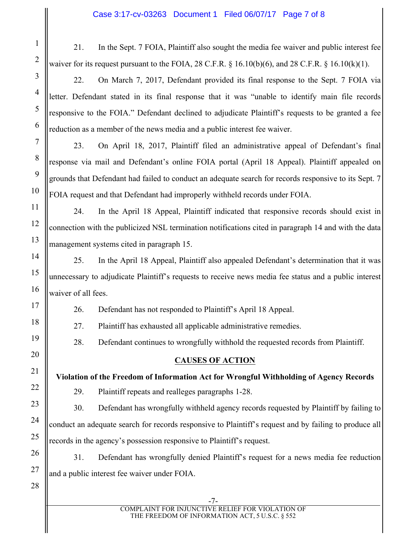21. In the Sept. 7 FOIA, Plaintiff also sought the media fee waiver and public interest fee waiver for its request pursuant to the FOIA,  $28$  C.F.R.  $\S$  16.10(b)(6), and  $28$  C.F.R.  $\S$  16.10(k)(1).

22. On March 7, 2017, Defendant provided its final response to the Sept. 7 FOIA via letter. Defendant stated in its final response that it was "unable to identify main file records responsive to the FOIA." Defendant declined to adjudicate Plaintiff's requests to be granted a fee reduction as a member of the news media and a public interest fee waiver.

23. On April 18, 2017, Plaintiff filed an administrative appeal of Defendant's final response via mail and Defendant's online FOIA portal (April 18 Appeal). Plaintiff appealed on grounds that Defendant had failed to conduct an adequate search for records responsive to its Sept. 7 FOIA request and that Defendant had improperly withheld records under FOIA.

24. In the April 18 Appeal, Plaintiff indicated that responsive records should exist in connection with the publicized NSL termination notifications cited in paragraph 14 and with the data management systems cited in paragraph 15.

25. In the April 18 Appeal, Plaintiff also appealed Defendant's determination that it was unnecessary to adjudicate Plaintiff's requests to receive news media fee status and a public interest waiver of all fees.

26. Defendant has not responded to Plaintiff's April 18 Appeal.

27. Plaintiff has exhausted all applicable administrative remedies.

28. Defendant continues to wrongfully withhold the requested records from Plaintiff.

# **CAUSES OF ACTION**

**Violation of the Freedom of Information Act for Wrongful Withholding of Agency Records**

29. Plaintiff repeats and realleges paragraphs 1-28.

30. Defendant has wrongfully withheld agency records requested by Plaintiff by failing to conduct an adequate search for records responsive to Plaintiff's request and by failing to produce all records in the agency's possession responsive to Plaintiff's request.

31. Defendant has wrongfully denied Plaintiff's request for a news media fee reduction and a public interest fee waiver under FOIA.

27 28

1

2

3

4

5

6

7

8

9

10

11

12

13

14

15

16

17

18

19

20

21

22

23

24

25

26